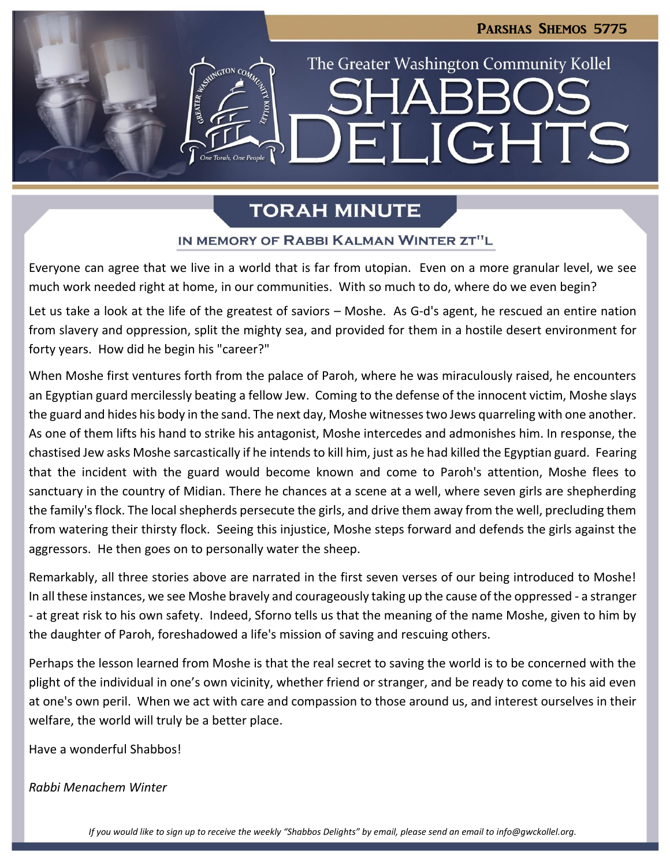The Greater Washington Community Kollel

LIGHT

# **TORAH MINUTE**

### IN MEMORY OF RABBI KALMAN WINTER ZT"L

Everyone can agree that we live in a world that is far from utopian. Even on a more granular level, we see much work needed right at home, in our communities. With so much to do, where do we even begin?

Let us take a look at the life of the greatest of saviors – Moshe. As G-d's agent, he rescued an entire nation from slavery and oppression, split the mighty sea, and provided for them in a hostile desert environment for forty years. How did he begin his "career?"

When Moshe first ventures forth from the palace of Paroh, where he was miraculously raised, he encounters an Egyptian guard mercilessly beating a fellow Jew. Coming to the defense of the innocent victim, Moshe slays the guard and hides his body in the sand. The next day, Moshe witnesses two Jews quarreling with one another. As one of them lifts his hand to strike his antagonist, Moshe intercedes and admonishes him. In response, the chastised Jew asks Moshe sarcastically if he intends to kill him, just as he had killed the Egyptian guard. Fearing that the incident with the guard would become known and come to Paroh's attention, Moshe flees to sanctuary in the country of Midian. There he chances at a scene at a well, where seven girls are shepherding the family's flock. The local shepherds persecute the girls, and drive them away from the well, precluding them from watering their thirsty flock. Seeing this injustice, Moshe steps forward and defends the girls against the aggressors. He then goes on to personally water the sheep.

Remarkably, all three stories above are narrated in the first seven verses of our being introduced to Moshe! In all these instances, we see Moshe bravely and courageously taking up the cause of the oppressed - a stranger - at great risk to his own safety. Indeed, Sforno tells us that the meaning of the name Moshe, given to him by the daughter of Paroh, foreshadowed a life's mission of saving and rescuing others.

Perhaps the lesson learned from Moshe is that the real secret to saving the world is to be concerned with the plight of the individual in one's own vicinity, whether friend or stranger, and be ready to come to his aid even at one's own peril. When we act with care and compassion to those around us, and interest ourselves in their welfare, the world will truly be a better place.

Have a wonderful Shabbos!

### *Rabbi Menachem Winter*